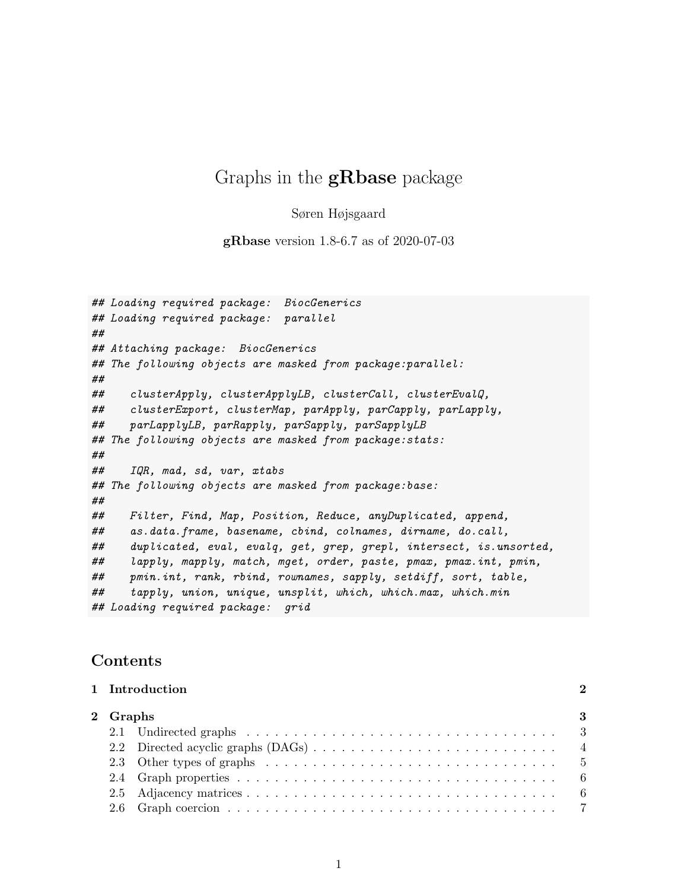# Graphs in the **gRbase** package

Søren Højsgaard

gRbase version 1.8-6.7 as of 2020-07-03

```
## Loading required package: BiocGenerics
## Loading required package: parallel
##
## Attaching package: BiocGenerics
## The following objects are masked from package:parallel:
##
## clusterApply, clusterApplyLB, clusterCall, clusterEvalQ,
## clusterExport, clusterMap, parApply, parCapply, parLapply,
## parLapplyLB, parRapply, parSapply, parSapplyLB
## The following objects are masked from package:stats:
##
## IQR, mad, sd, var, xtabs
## The following objects are masked from package:base:
##
## Filter, Find, Map, Position, Reduce, anyDuplicated, append,
## as.data.frame, basename, cbind, colnames, dirname, do.call,
## duplicated, eval, evalq, get, grep, grepl, intersect, is.unsorted,
## lapply, mapply, match, mget, order, paste, pmax, pmax.int, pmin,
## pmin.int, rank, rbind, rownames, sapply, setdiff, sort, table,
## tapply, union, unique, unsplit, which, which.max, which.min
## Loading required package: grid
```
## Contents

|          | 1 Introduction |  |  |  |
|----------|----------------|--|--|--|
| 2 Graphs |                |  |  |  |
|          |                |  |  |  |
|          |                |  |  |  |
|          |                |  |  |  |
|          |                |  |  |  |
|          |                |  |  |  |
|          |                |  |  |  |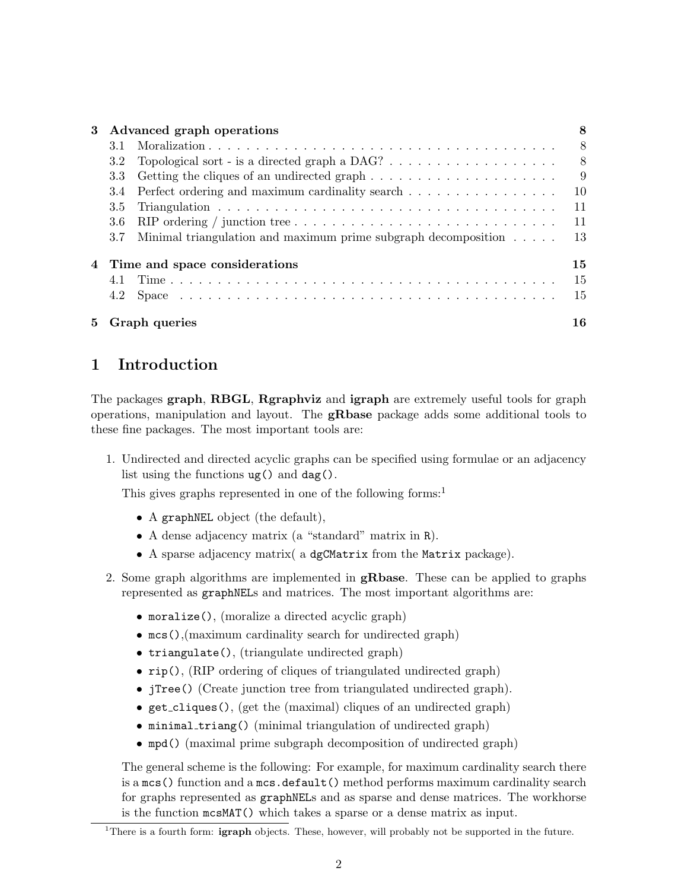| 3                   | Advanced graph operations     |                                                                                                      | 8  |
|---------------------|-------------------------------|------------------------------------------------------------------------------------------------------|----|
|                     | 3.1                           |                                                                                                      | 8  |
|                     | 3.2                           |                                                                                                      | 8  |
|                     | 3.3                           | Getting the cliques of an undirected graph $\dots \dots \dots \dots \dots \dots \dots$               | 9  |
|                     | 3.4                           | Perfect ordering and maximum cardinality search                                                      | 10 |
|                     | 3.5                           |                                                                                                      | 11 |
|                     | 3.6                           | RIP ordering / junction tree $\ldots \ldots \ldots \ldots \ldots \ldots \ldots \ldots \ldots \ldots$ | 11 |
|                     | 3.7                           | Minimal triangulation and maximum prime subgraph decomposition $\ldots$ .                            | 13 |
| 4                   | Time and space considerations |                                                                                                      |    |
|                     |                               |                                                                                                      | 15 |
|                     | 4.2                           |                                                                                                      | 15 |
| Graph queries<br>5. |                               | 16                                                                                                   |    |

# 1 Introduction

The packages graph, RBGL, Rgraphviz and igraph are extremely useful tools for graph operations, manipulation and layout. The gRbase package adds some additional tools to these fine packages. The most important tools are:

1. Undirected and directed acyclic graphs can be specified using formulae or an adjacency list using the functions ug() and dag().

This gives graphs represented in one of the following forms:<sup>1</sup>

- A graphNEL object (the default),
- A dense adjacency matrix (a "standard" matrix in R).
- A sparse adjacency matrix( a dgCMatrix from the Matrix package).
- 2. Some graph algorithms are implemented in gRbase. These can be applied to graphs represented as graphNELs and matrices. The most important algorithms are:
	- moralize(), (moralize a directed acyclic graph)
	- mcs(),(maximum cardinality search for undirected graph)
	- triangulate(), (triangulate undirected graph)
	- rip(), (RIP ordering of cliques of triangulated undirected graph)
	- jTree() (Create junction tree from triangulated undirected graph).
	- get\_cliques(), (get the (maximal) cliques of an undirected graph)
	- minimal\_triang() (minimal triangulation of undirected graph)
	- mpd() (maximal prime subgraph decomposition of undirected graph)

The general scheme is the following: For example, for maximum cardinality search there is a mcs() function and a mcs.default() method performs maximum cardinality search for graphs represented as graphNELs and as sparse and dense matrices. The workhorse is the function mcsMAT() which takes a sparse or a dense matrix as input.

<sup>&</sup>lt;sup>1</sup>There is a fourth form: **igraph** objects. These, however, will probably not be supported in the future.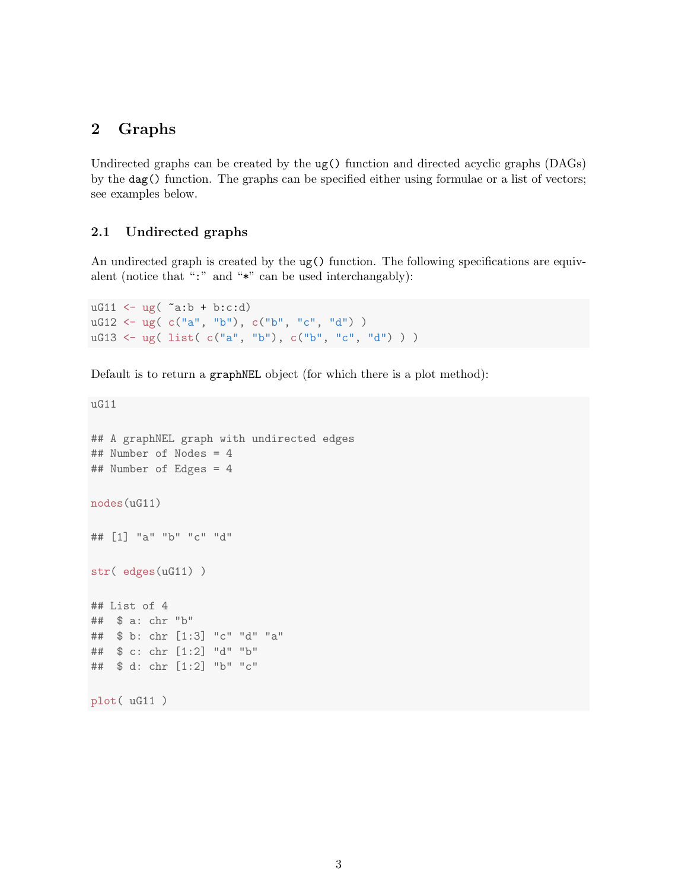## 2 Graphs

Undirected graphs can be created by the ug() function and directed acyclic graphs (DAGs) by the dag() function. The graphs can be specified either using formulae or a list of vectors; see examples below.

## 2.1 Undirected graphs

An undirected graph is created by the ug() function. The following specifications are equivalent (notice that ":" and "\*" can be used interchangably):

```
uG11 \leftarrow ug( \tilde{a}:b + b:c:d)
uG12 \leq -ug(c("a", "b"), c("b", "c", "d") )uG13 <- ug( list( c("a", "b"), c("b", "c", "d") ) )
```
Default is to return a graphNEL object (for which there is a plot method):

```
uG11
## A graphNEL graph with undirected edges
## Number of Nodes = 4
## Number of Edges = 4
nodes(uG11)
## [1] "a" "b" "c" "d"
str( edges(uG11) )
## List of 4
## $ a: chr "b"
## $ b: chr [1:3] "c" "d" "a"
## $ c: chr [1:2] "d" "b"
## $ d: chr [1:2] "b" "c"
plot( uG11 )
```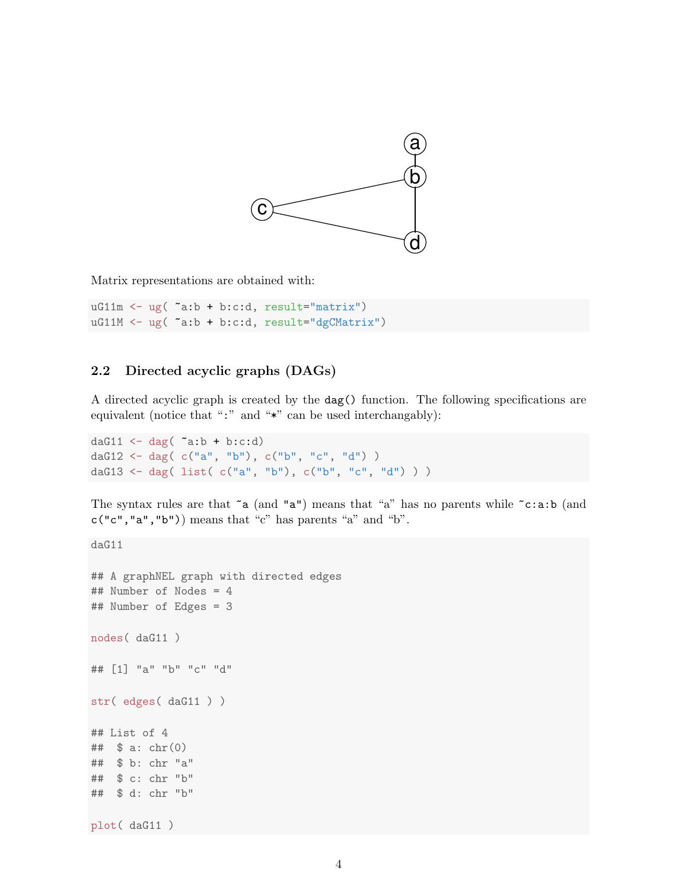

Matrix representations are obtained with:

 $uG11m \leftarrow ug("a:b + b: c:d, result="matrix")$ uG11M <- ug( ~a:b + b:c:d, result="dgCMatrix")

## 2.2 Directed acyclic graphs (DAGs)

A directed acyclic graph is created by the dag() function. The following specifications are equivalent (notice that ":" and "\*" can be used interchangably):

```
daG11 \leftarrow dag( \tilde{a}:b + b:c:d)
daG12 <- dag( c("a", "b"), c("b", "c", "d") )
daG13 <- dag( list( c("a", "b"), c("b", "c", "d") ) )
```
The syntax rules are that  $\tilde{a}$  (and "a") means that "a" has no parents while  $\tilde{c}:a:b$  (and  $c("c", "a", "b")$ ) means that "c" has parents "a" and "b".

daG11 ## A graphNEL graph with directed edges ## Number of Nodes = 4 ## Number of Edges = 3 nodes( daG11 ) ## [1] "a" "b" "c" "d" str( edges( daG11 ) ) ## List of 4 ##  $$ a: chr(0)$ ## \$ b: chr "a" ## \$ c: chr "b" ## \$ d: chr "b" plot( daG11 )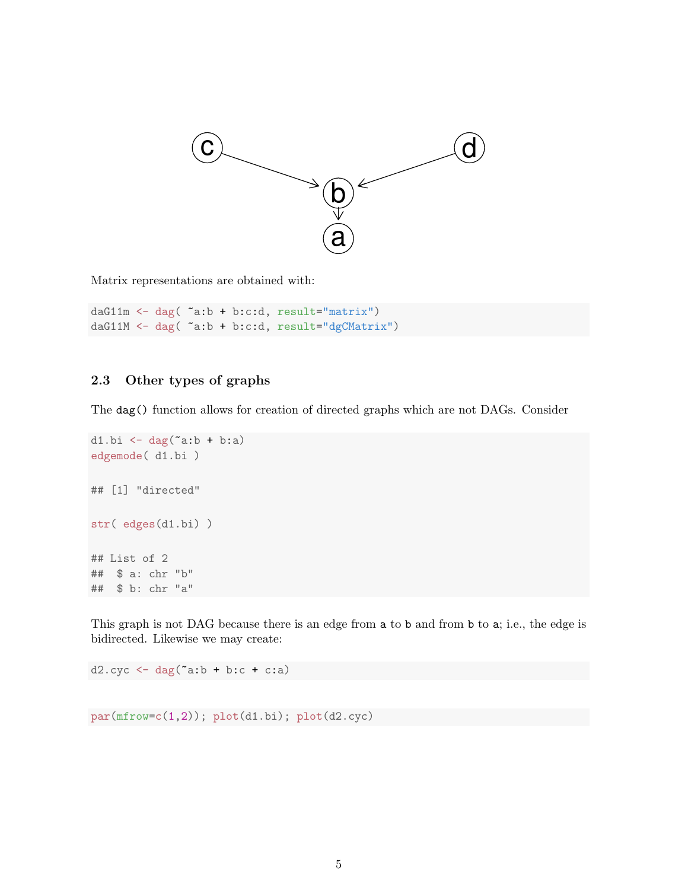

Matrix representations are obtained with:

daG11m <- dag( ~a:b + b:c:d, result="matrix") daG11M <- dag( ~a:b + b:c:d, result="dgCMatrix")

### 2.3 Other types of graphs

The dag() function allows for creation of directed graphs which are not DAGs. Consider

```
d1.bi \leftarrow dag("a:b + b:a)
edgemode( d1.bi )
## [1] "directed"
str( edges(d1.bi) )
## List of 2
## $ a: chr "b"
## $ b: chr "a"
```
This graph is not DAG because there is an edge from a to b and from b to a; i.e., the edge is bidirected. Likewise we may create:

 $d2.cyc \leftarrow dag("a:b + b:c + c:a)$ 

par(mfrow=c(1,2)); plot(d1.bi); plot(d2.cyc)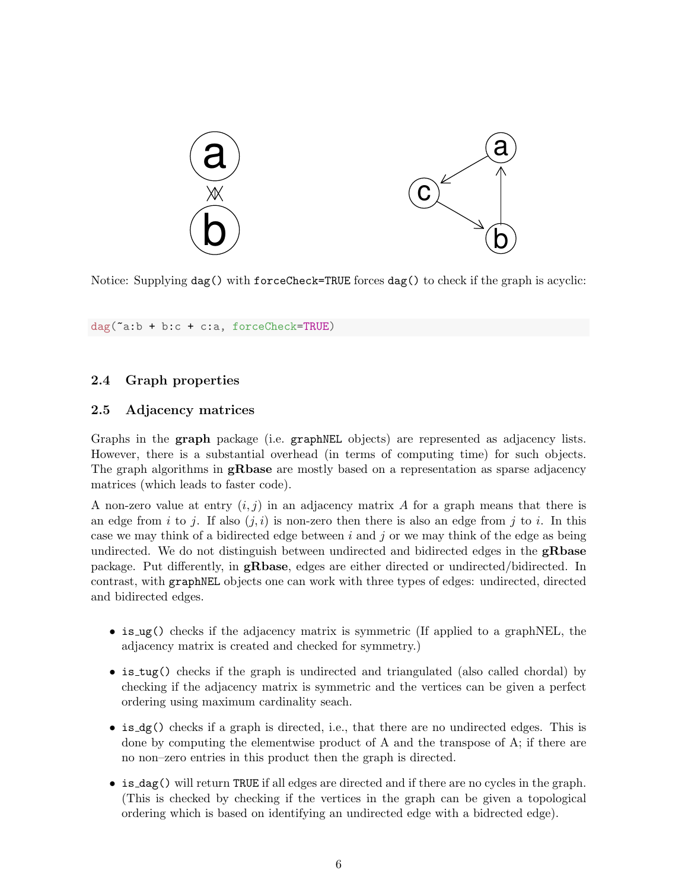

Notice: Supplying dag() with forceCheck=TRUE forces dag() to check if the graph is acyclic:

dag(~a:b + b:c + c:a, forceCheck=TRUE)

## 2.4 Graph properties

## 2.5 Adjacency matrices

Graphs in the graph package (i.e. graphNEL objects) are represented as adjacency lists. However, there is a substantial overhead (in terms of computing time) for such objects. The graph algorithms in **gRbase** are mostly based on a representation as sparse adjacency matrices (which leads to faster code).

A non-zero value at entry  $(i, j)$  in an adjacency matrix A for a graph means that there is an edge from i to j. If also  $(j, i)$  is non-zero then there is also an edge from j to i. In this case we may think of a bidirected edge between  $i$  and  $j$  or we may think of the edge as being undirected. We do not distinguish between undirected and bidirected edges in the **gRbase** package. Put differently, in gRbase, edges are either directed or undirected/bidirected. In contrast, with graphNEL objects one can work with three types of edges: undirected, directed and bidirected edges.

- is ug() checks if the adjacency matrix is symmetric (If applied to a graphNEL, the adjacency matrix is created and checked for symmetry.)
- is\_tug() checks if the graph is undirected and triangulated (also called chordal) by checking if the adjacency matrix is symmetric and the vertices can be given a perfect ordering using maximum cardinality seach.
- is dg() checks if a graph is directed, i.e., that there are no undirected edges. This is done by computing the elementwise product of A and the transpose of A; if there are no non–zero entries in this product then the graph is directed.
- is dag() will return TRUE if all edges are directed and if there are no cycles in the graph. (This is checked by checking if the vertices in the graph can be given a topological ordering which is based on identifying an undirected edge with a bidrected edge).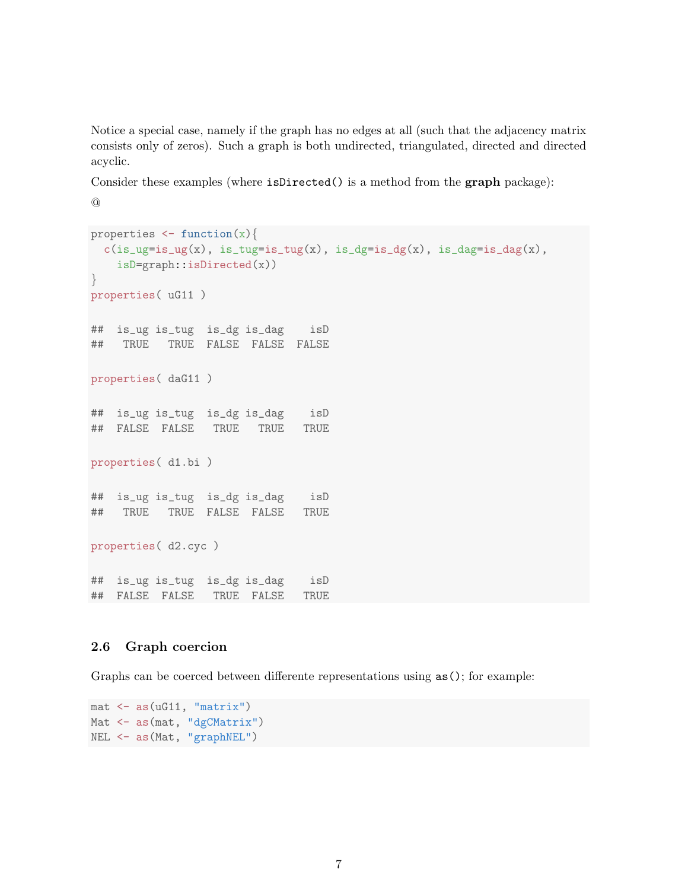Notice a special case, namely if the graph has no edges at all (such that the adjacency matrix consists only of zeros). Such a graph is both undirected, triangulated, directed and directed acyclic.

Consider these examples (where isDirected() is a method from the graph package): @

```
properties \leq function(x){
  c(is_\text{ug=is_\text{ug}}(x), is_\text{tug=is_\text{ug}}(x), is_\text{dg=is_\text{dg}}(x), is_\text{dag=is_\text{dag}}(x),isD=graph::isDirected(x))
}
properties( uG11 )
## is_ug is_tug is_dg is_dag isD
## TRUE TRUE FALSE FALSE FALSE
properties( daG11 )
## is_ug is_tug is_dg is_dag isD
## FALSE FALSE TRUE TRUE TRUE
properties( d1.bi )
## is_ug is_tug is_dg is_dag isD
## TRUE TRUE FALSE FALSE TRUE
properties( d2.cyc )
## is_ug is_tug is_dg is_dag isD
## FALSE FALSE TRUE FALSE TRUE
```
#### 2.6 Graph coercion

Graphs can be coerced between differente representations using  $as()$ ; for example:

```
mat <- as(uG11, "matrix")
Mat <- as(mat, "dgCMatrix")
NEL <- as(Mat, "graphNEL")
```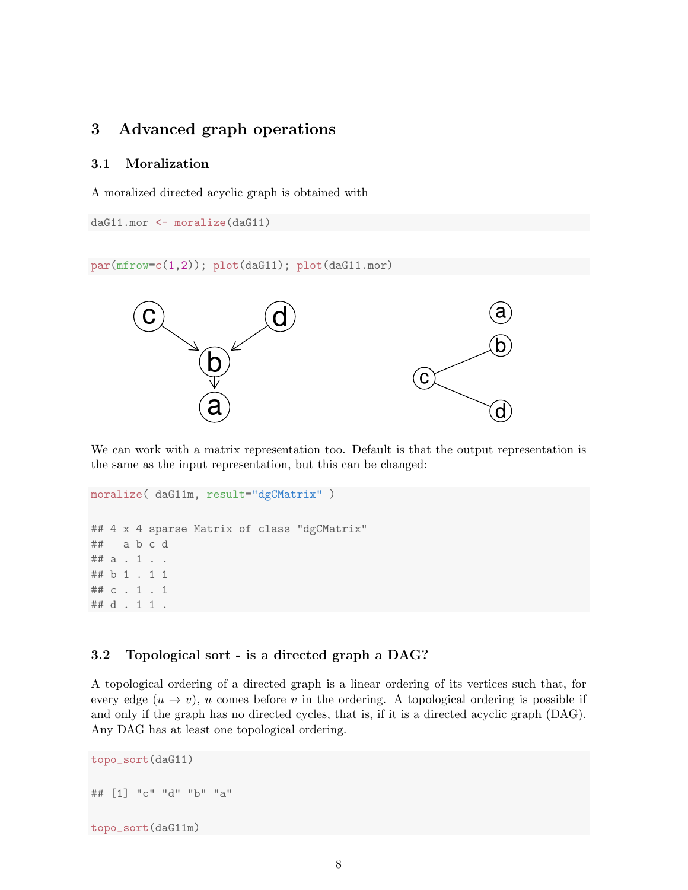# 3 Advanced graph operations

#### 3.1 Moralization

A moralized directed acyclic graph is obtained with

```
daG11.mor <- moralize(daG11)
```
par(mfrow=c(1,2)); plot(daG11); plot(daG11.mor)



We can work with a matrix representation too. Default is that the output representation is the same as the input representation, but this can be changed:

```
moralize( daG11m, result="dgCMatrix" )
## 4 x 4 sparse Matrix of class "dgCMatrix"
## a b c d
## a . 1 . .
## b 1 . 1 1
## c . 1 . 1
## d . 1 1 .
```
### 3.2 Topological sort - is a directed graph a DAG?

A topological ordering of a directed graph is a linear ordering of its vertices such that, for every edge  $(u \to v)$ , u comes before v in the ordering. A topological ordering is possible if and only if the graph has no directed cycles, that is, if it is a directed acyclic graph (DAG). Any DAG has at least one topological ordering.

```
topo_sort(daG11)
## [1] "c" "d" "b" "a"
topo_sort(daG11m)
```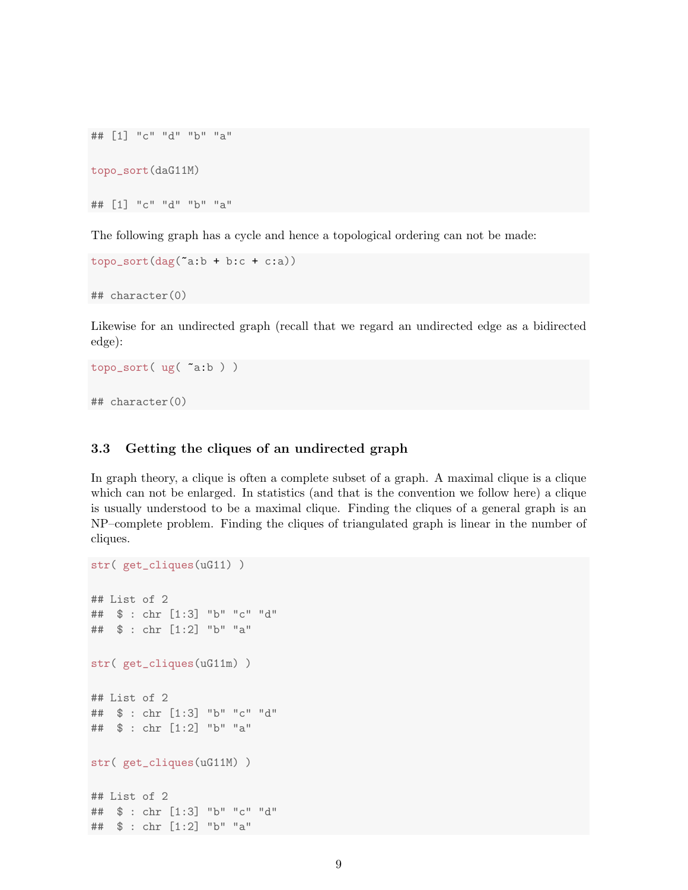```
## [1] "c" "d" "b" "a"
topo_sort(daG11M)
## [1] "c" "d" "b" "a"
```
The following graph has a cycle and hence a topological ordering can not be made:

```
topo\_sort(dag('a:b + b:c + c:a))
```
## character(0)

Likewise for an undirected graph (recall that we regard an undirected edge as a bidirected edge):

```
topo_sort( ug( ~a:b ) )
## character(0)
```
str( get\_cliques(uG11) )

### 3.3 Getting the cliques of an undirected graph

In graph theory, a clique is often a complete subset of a graph. A maximal clique is a clique which can not be enlarged. In statistics (and that is the convention we follow here) a clique is usually understood to be a maximal clique. Finding the cliques of a general graph is an NP–complete problem. Finding the cliques of triangulated graph is linear in the number of cliques.

```
## List of 2
## $ : chr [1:3] "b" "c" "d"
## $ : chr [1:2] "b" "a"
str( get_cliques(uG11m) )
## List of 2
## $ : chr [1:3] "b" "c" "d"
## $ : chr [1:2] "b" "a"
str( get_cliques(uG11M) )
## List of 2
## $ : chr [1:3] "b" "c" "d"
## $ : chr [1:2] "b" "a"
```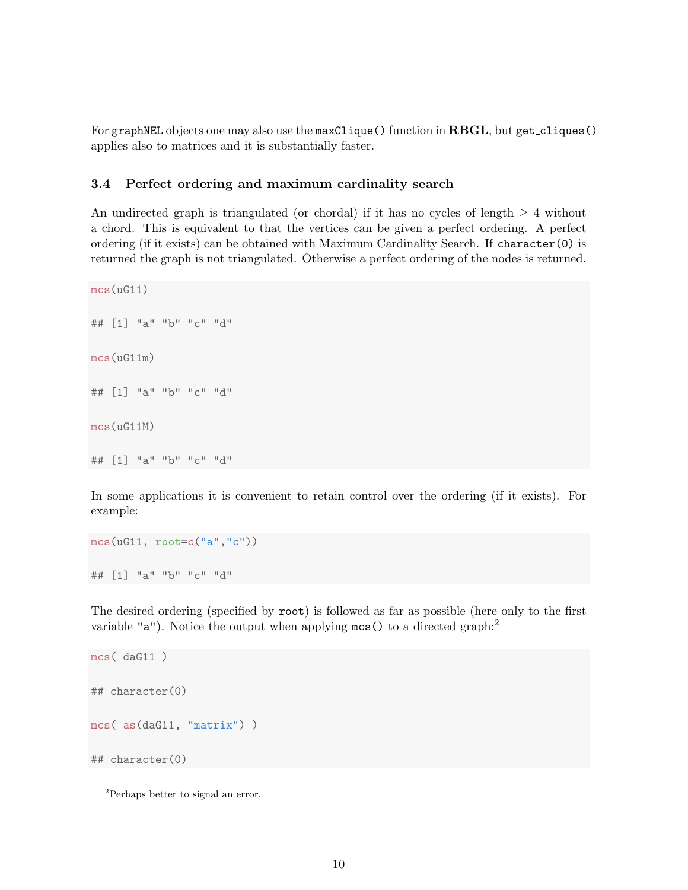For graphNEL objects one may also use the maxClique() function in RBGL, but get\_cliques() applies also to matrices and it is substantially faster.

#### 3.4 Perfect ordering and maximum cardinality search

An undirected graph is triangulated (or chordal) if it has no cycles of length  $\geq 4$  without a chord. This is equivalent to that the vertices can be given a perfect ordering. A perfect ordering (if it exists) can be obtained with Maximum Cardinality Search. If character(0) is returned the graph is not triangulated. Otherwise a perfect ordering of the nodes is returned.

```
mcs(uG11)
## [1] "a" "b" "c" "d"
mcs(uG11m)
## [1] "a" "b" "c" "d"
mcs(uG11M)
## [1] "a" "b" "c" "d"
```
In some applications it is convenient to retain control over the ordering (if it exists). For example:

```
mcs(uG11, root=c("a","c"))
## [1] "a" "b" "c" "d"
```
The desired ordering (specified by root) is followed as far as possible (here only to the first variable " $a$ "). Notice the output when applying  $mcs()$  to a directed graph:<sup>2</sup>

```
mcs( daG11 )
## character(0)
mcs( as(daG11, "matrix") )
## character(0)
```
<sup>2</sup>Perhaps better to signal an error.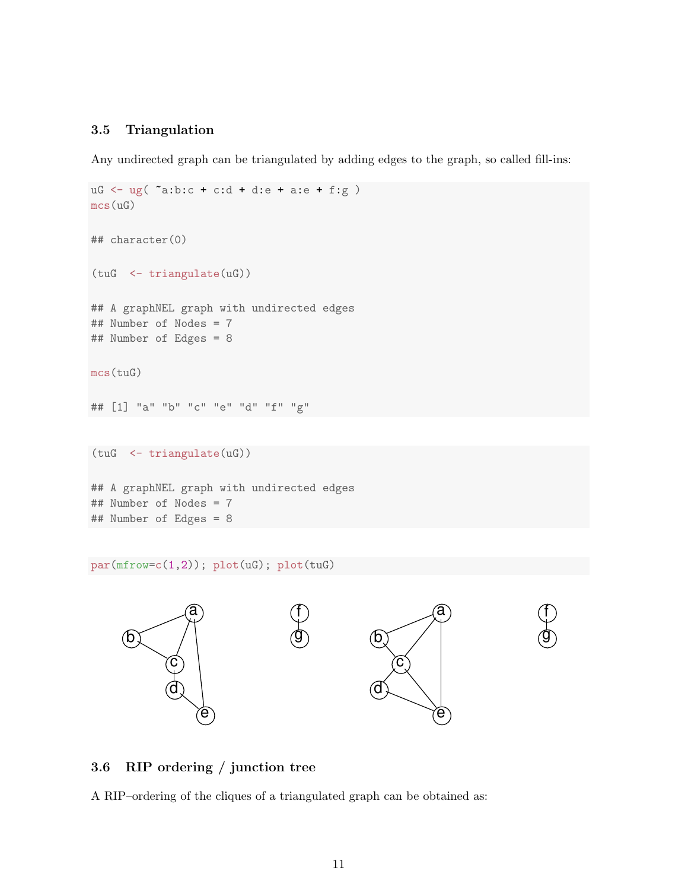#### 3.5 Triangulation

Any undirected graph can be triangulated by adding edges to the graph, so called fill-ins:

```
uG \leq ug( "a:b:c + c:d + d:e + a:e + f:g )
mcs(uG)
## character(0)
(tuG <- triangulate(uG))
## A graphNEL graph with undirected edges
## Number of Nodes = 7
## Number of Edges = 8
mcs(tuG)
## [1] "a" "b" "c" "e" "d" "f" "g"
(tuG <- triangulate(uG))
## A graphNEL graph with undirected edges
## Number of Nodes = 7
## Number of Edges = 8
```
par(mfrow=c(1,2)); plot(uG); plot(tuG)



#### 3.6 RIP ordering / junction tree

A RIP–ordering of the cliques of a triangulated graph can be obtained as: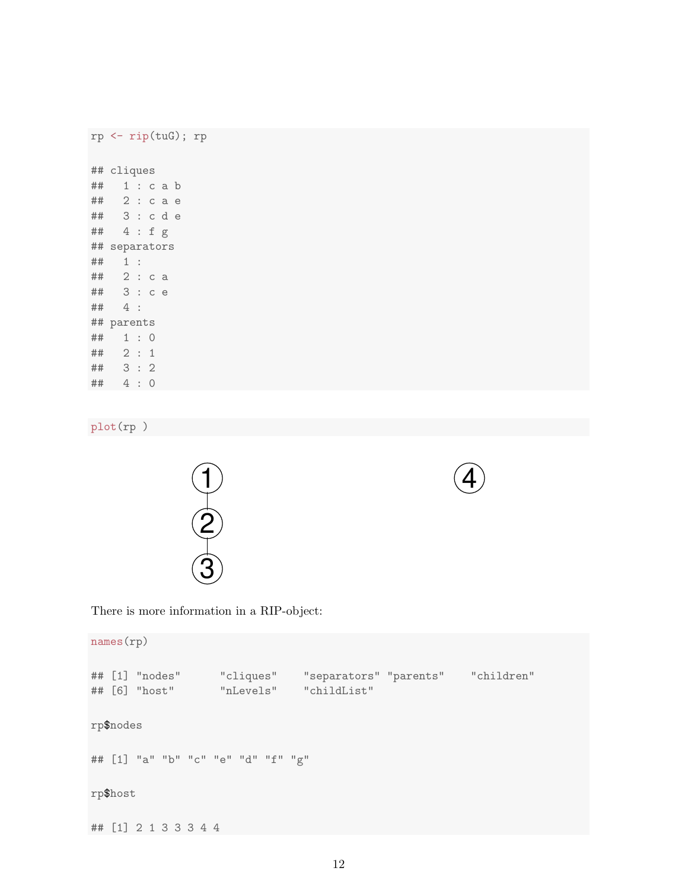```
rp <- rip(tuG); rp
## cliques
## 1 : c a b
## 2 : c a e
## 3 : c d e
## 4 : f g
## separators
## 1 :
## 2 : c a
## 3 : c e
## 4 :
## parents
## 1 : 0
## 2 : 1
## 3 : 2
## 4 : 0
```
plot(rp )





There is more information in a RIP-object:

names(rp) ## [1] "nodes" "cliques" "separators" "parents" "children" ## [6] "host" "nLevels" "childList" rp\$nodes ## [1] "a" "b" "c" "e" "d" "f" "g" rp\$host ## [1] 2 1 3 3 3 4 4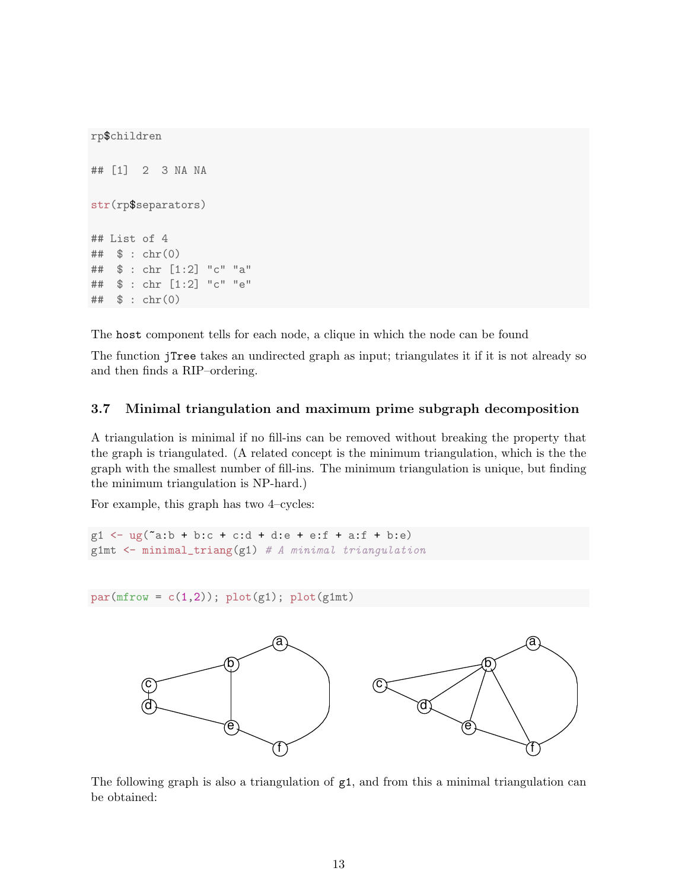```
rp$children
## [1] 2 3 NA NA
str(rp$separators)
## List of 4
## $ : chr(0)
## $ : chr [1:2] "c" "a"
## $ : chr [1:2] "c" "e"
## $ : chr(0)
```
The host component tells for each node, a clique in which the node can be found

The function jTree takes an undirected graph as input; triangulates it if it is not already so and then finds a RIP–ordering.

## 3.7 Minimal triangulation and maximum prime subgraph decomposition

A triangulation is minimal if no fill-ins can be removed without breaking the property that the graph is triangulated. (A related concept is the minimum triangulation, which is the the graph with the smallest number of fill-ins. The minimum triangulation is unique, but finding the minimum triangulation is NP-hard.)

For example, this graph has two 4–cycles:

 $g1 \leftarrow ug("a:b + b:c + c:d + d:e + e:f + a:f + b:e)$ g1mt <- minimal\_triang(g1) *# A minimal triangulation*

 $par(mfrow = c(1,2)); plot(g1); plot(g1mt)$ 



The following graph is also a triangulation of g1, and from this a minimal triangulation can be obtained: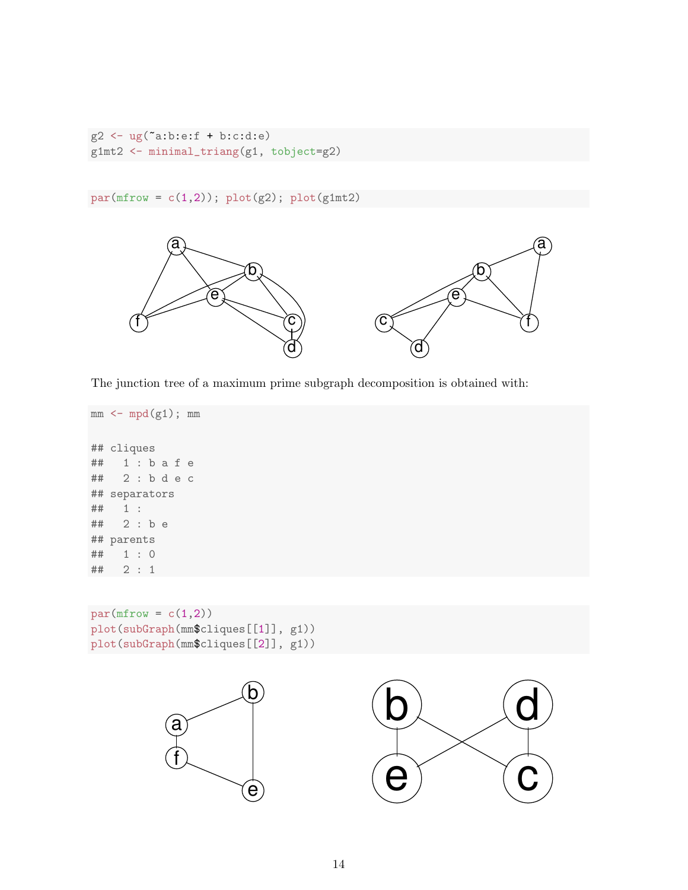```
g2 <- ug("a:b:e:f + b:c:d:e)g1mt2 <- minimal_triang(g1, tobject=g2)
```
 $par(mfrow = c(1,2)); plot(g2); plot(g1mt2)$ 



The junction tree of a maximum prime subgraph decomposition is obtained with:

```
mm < - mpd(g1); mm## cliques
## 1 : b a f e
## 2 : b d e c
## separators
## 1 :
## 2 : b e
## parents
## 1 : 0
## 2 : 1
```
 $par(mfrow = c(1,2))$ plot(subGraph(mm\$cliques[[1]], g1)) plot(subGraph(mm\$cliques[[2]], g1))



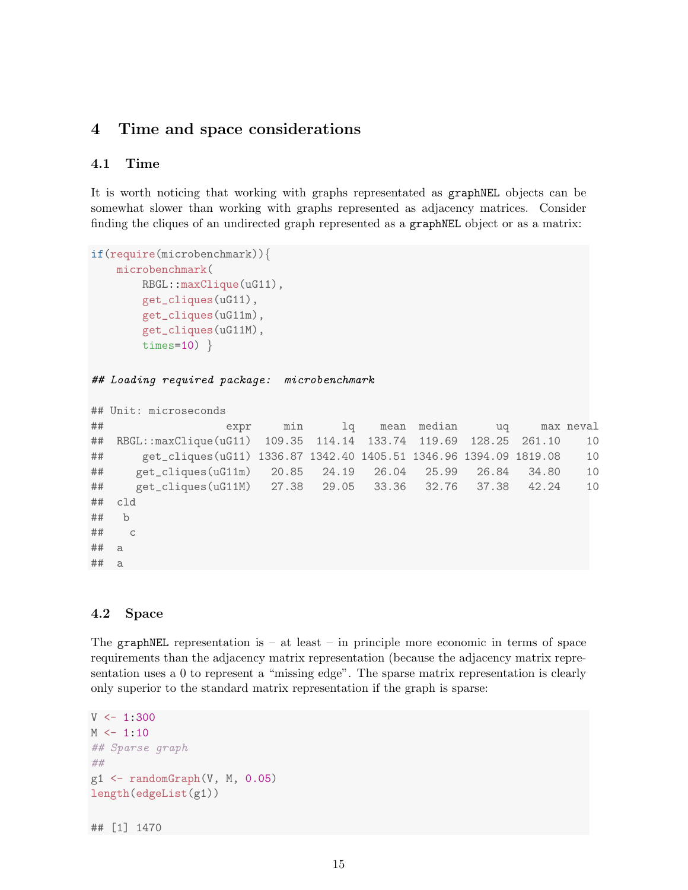## 4 Time and space considerations

#### 4.1 Time

It is worth noticing that working with graphs representated as graphNEL objects can be somewhat slower than working with graphs represented as adjacency matrices. Consider finding the cliques of an undirected graph represented as a graphNEL object or as a matrix:

```
if(require(microbenchmark)){
   microbenchmark(
        RBGL::maxClique(uG11),
        get_cliques(uG11),
        get_cliques(uG11m),
        get_cliques(uG11M),
        times=10)}
```
*## Loading required package: microbenchmark*

```
## Unit: microseconds
```

```
## expr min lq mean median uq max neval
## RBGL::maxClique(uG11) 109.35 114.14 133.74 119.69 128.25 261.10 10
## get_cliques(uG11) 1336.87 1342.40 1405.51 1346.96 1394.09 1819.08 10
## get_cliques(uG11m) 20.85 24.19 26.04 25.99 26.84 34.80 10
## get_cliques(uG11M) 27.38 29.05 33.36 32.76 37.38 42.24 10
## cld
## b
## c
## a
## a
```
#### 4.2 Space

The graphNEL representation is  $-$  at least  $-$  in principle more economic in terms of space requirements than the adjacency matrix representation (because the adjacency matrix representation uses a 0 to represent a "missing edge". The sparse matrix representation is clearly only superior to the standard matrix representation if the graph is sparse:

```
V \leftarrow 1:300M < -1:10## Sparse graph
##
g1 \leftarrow \text{randomGraph}(V, M, 0.05)length(edgeList(g1))
```
## [1] 1470